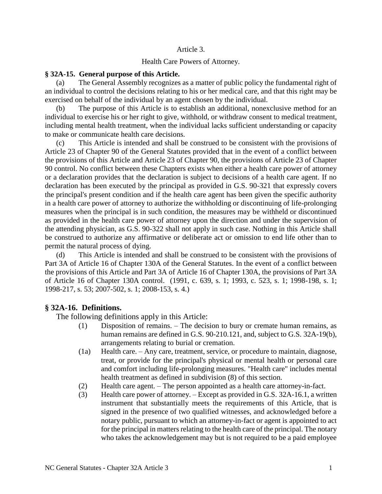#### Article 3.

#### Health Care Powers of Attorney.

#### **§ 32A-15. General purpose of this Article.**

(a) The General Assembly recognizes as a matter of public policy the fundamental right of an individual to control the decisions relating to his or her medical care, and that this right may be exercised on behalf of the individual by an agent chosen by the individual.

(b) The purpose of this Article is to establish an additional, nonexclusive method for an individual to exercise his or her right to give, withhold, or withdraw consent to medical treatment, including mental health treatment, when the individual lacks sufficient understanding or capacity to make or communicate health care decisions.

This Article is intended and shall be construed to be consistent with the provisions of Article 23 of Chapter 90 of the General Statutes provided that in the event of a conflict between the provisions of this Article and Article 23 of Chapter 90, the provisions of Article 23 of Chapter 90 control. No conflict between these Chapters exists when either a health care power of attorney or a declaration provides that the declaration is subject to decisions of a health care agent. If no declaration has been executed by the principal as provided in G.S. 90-321 that expressly covers the principal's present condition and if the health care agent has been given the specific authority in a health care power of attorney to authorize the withholding or discontinuing of life-prolonging measures when the principal is in such condition, the measures may be withheld or discontinued as provided in the health care power of attorney upon the direction and under the supervision of the attending physician, as G.S. 90-322 shall not apply in such case. Nothing in this Article shall be construed to authorize any affirmative or deliberate act or omission to end life other than to permit the natural process of dying.

(d) This Article is intended and shall be construed to be consistent with the provisions of Part 3A of Article 16 of Chapter 130A of the General Statutes. In the event of a conflict between the provisions of this Article and Part 3A of Article 16 of Chapter 130A, the provisions of Part 3A of Article 16 of Chapter 130A control. (1991, c. 639, s. 1; 1993, c. 523, s. 1; 1998-198, s. 1; 1998-217, s. 53; 2007-502, s. 1; 2008-153, s. 4.)

## **§ 32A-16. Definitions.**

The following definitions apply in this Article:

- (1) Disposition of remains. The decision to bury or cremate human remains, as human remains are defined in G.S. 90-210.121, and, subject to G.S. 32A-19(b), arrangements relating to burial or cremation.
- (1a) Health care. Any care, treatment, service, or procedure to maintain, diagnose, treat, or provide for the principal's physical or mental health or personal care and comfort including life-prolonging measures. "Health care" includes mental health treatment as defined in subdivision (8) of this section.
- (2) Health care agent. The person appointed as a health care attorney-in-fact.
- (3) Health care power of attorney. Except as provided in G.S. 32A-16.1, a written instrument that substantially meets the requirements of this Article, that is signed in the presence of two qualified witnesses, and acknowledged before a notary public, pursuant to which an attorney-in-fact or agent is appointed to act for the principal in matters relating to the health care of the principal. The notary who takes the acknowledgement may but is not required to be a paid employee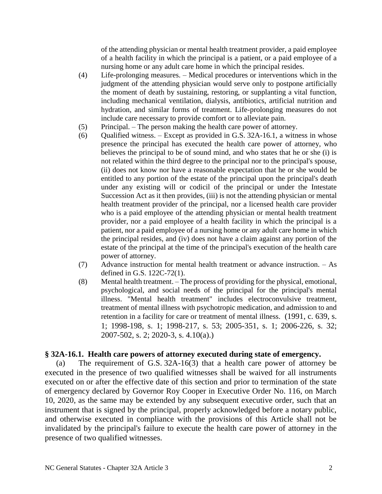of the attending physician or mental health treatment provider, a paid employee of a health facility in which the principal is a patient, or a paid employee of a nursing home or any adult care home in which the principal resides.

- (4) Life-prolonging measures. Medical procedures or interventions which in the judgment of the attending physician would serve only to postpone artificially the moment of death by sustaining, restoring, or supplanting a vital function, including mechanical ventilation, dialysis, antibiotics, artificial nutrition and hydration, and similar forms of treatment. Life-prolonging measures do not include care necessary to provide comfort or to alleviate pain.
- (5) Principal. The person making the health care power of attorney.
- (6) Qualified witness. Except as provided in G.S. 32A-16.1, a witness in whose presence the principal has executed the health care power of attorney, who believes the principal to be of sound mind, and who states that he or she (i) is not related within the third degree to the principal nor to the principal's spouse, (ii) does not know nor have a reasonable expectation that he or she would be entitled to any portion of the estate of the principal upon the principal's death under any existing will or codicil of the principal or under the Intestate Succession Act as it then provides, (iii) is not the attending physician or mental health treatment provider of the principal, nor a licensed health care provider who is a paid employee of the attending physician or mental health treatment provider, nor a paid employee of a health facility in which the principal is a patient, nor a paid employee of a nursing home or any adult care home in which the principal resides, and (iv) does not have a claim against any portion of the estate of the principal at the time of the principal's execution of the health care power of attorney.
- (7) Advance instruction for mental health treatment or advance instruction. As defined in G.S. 122C-72(1).
- (8) Mental health treatment. The process of providing for the physical, emotional, psychological, and social needs of the principal for the principal's mental illness. "Mental health treatment" includes electroconvulsive treatment, treatment of mental illness with psychotropic medication, and admission to and retention in a facility for care or treatment of mental illness. (1991, c. 639, s. 1; 1998-198, s. 1; 1998-217, s. 53; 2005-351, s. 1; 2006-226, s. 32; 2007-502, s. 2; 2020-3, s. 4.10(a).)

# **§ 32A-16.1. Health care powers of attorney executed during state of emergency.**

(a) The requirement of G.S. 32A-16(3) that a health care power of attorney be executed in the presence of two qualified witnesses shall be waived for all instruments executed on or after the effective date of this section and prior to termination of the state of emergency declared by Governor Roy Cooper in Executive Order No. 116, on March 10, 2020, as the same may be extended by any subsequent executive order, such that an instrument that is signed by the principal, properly acknowledged before a notary public, and otherwise executed in compliance with the provisions of this Article shall not be invalidated by the principal's failure to execute the health care power of attorney in the presence of two qualified witnesses.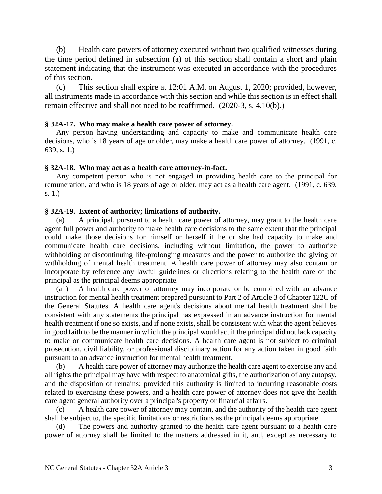(b) Health care powers of attorney executed without two qualified witnesses during the time period defined in subsection (a) of this section shall contain a short and plain statement indicating that the instrument was executed in accordance with the procedures of this section.

(c) This section shall expire at 12:01 A.M. on August 1, 2020; provided, however, all instruments made in accordance with this section and while this section is in effect shall remain effective and shall not need to be reaffirmed. (2020-3, s. 4.10(b).)

#### **§ 32A-17. Who may make a health care power of attorney.**

Any person having understanding and capacity to make and communicate health care decisions, who is 18 years of age or older, may make a health care power of attorney. (1991, c. 639, s. 1.)

#### **§ 32A-18. Who may act as a health care attorney-in-fact.**

Any competent person who is not engaged in providing health care to the principal for remuneration, and who is 18 years of age or older, may act as a health care agent. (1991, c. 639, s. 1.)

#### **§ 32A-19. Extent of authority; limitations of authority.**

A principal, pursuant to a health care power of attorney, may grant to the health care agent full power and authority to make health care decisions to the same extent that the principal could make those decisions for himself or herself if he or she had capacity to make and communicate health care decisions, including without limitation, the power to authorize withholding or discontinuing life-prolonging measures and the power to authorize the giving or withholding of mental health treatment. A health care power of attorney may also contain or incorporate by reference any lawful guidelines or directions relating to the health care of the principal as the principal deems appropriate.

(a1) A health care power of attorney may incorporate or be combined with an advance instruction for mental health treatment prepared pursuant to Part 2 of Article 3 of Chapter 122C of the General Statutes. A health care agent's decisions about mental health treatment shall be consistent with any statements the principal has expressed in an advance instruction for mental health treatment if one so exists, and if none exists, shall be consistent with what the agent believes in good faith to be the manner in which the principal would act if the principal did not lack capacity to make or communicate health care decisions. A health care agent is not subject to criminal prosecution, civil liability, or professional disciplinary action for any action taken in good faith pursuant to an advance instruction for mental health treatment.

(b) A health care power of attorney may authorize the health care agent to exercise any and all rights the principal may have with respect to anatomical gifts, the authorization of any autopsy, and the disposition of remains; provided this authority is limited to incurring reasonable costs related to exercising these powers, and a health care power of attorney does not give the health care agent general authority over a principal's property or financial affairs.

(c) A health care power of attorney may contain, and the authority of the health care agent shall be subject to, the specific limitations or restrictions as the principal deems appropriate.

(d) The powers and authority granted to the health care agent pursuant to a health care power of attorney shall be limited to the matters addressed in it, and, except as necessary to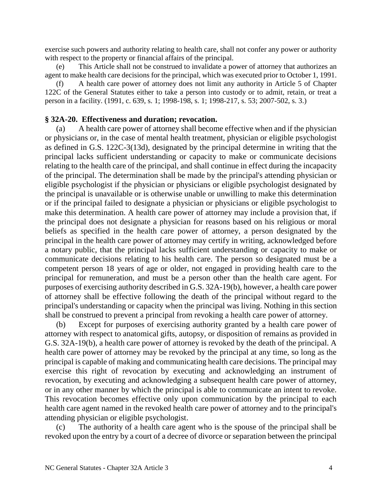exercise such powers and authority relating to health care, shall not confer any power or authority with respect to the property or financial affairs of the principal.

(e) This Article shall not be construed to invalidate a power of attorney that authorizes an agent to make health care decisions for the principal, which was executed prior to October 1, 1991.

(f) A health care power of attorney does not limit any authority in Article 5 of Chapter 122C of the General Statutes either to take a person into custody or to admit, retain, or treat a person in a facility. (1991, c. 639, s. 1; 1998-198, s. 1; 1998-217, s. 53; 2007-502, s. 3.)

## **§ 32A-20. Effectiveness and duration; revocation.**

(a) A health care power of attorney shall become effective when and if the physician or physicians or, in the case of mental health treatment, physician or eligible psychologist as defined in G.S. 122C-3(13d), designated by the principal determine in writing that the principal lacks sufficient understanding or capacity to make or communicate decisions relating to the health care of the principal, and shall continue in effect during the incapacity of the principal. The determination shall be made by the principal's attending physician or eligible psychologist if the physician or physicians or eligible psychologist designated by the principal is unavailable or is otherwise unable or unwilling to make this determination or if the principal failed to designate a physician or physicians or eligible psychologist to make this determination. A health care power of attorney may include a provision that, if the principal does not designate a physician for reasons based on his religious or moral beliefs as specified in the health care power of attorney, a person designated by the principal in the health care power of attorney may certify in writing, acknowledged before a notary public, that the principal lacks sufficient understanding or capacity to make or communicate decisions relating to his health care. The person so designated must be a competent person 18 years of age or older, not engaged in providing health care to the principal for remuneration, and must be a person other than the health care agent. For purposes of exercising authority described in G.S. 32A-19(b), however, a health care power of attorney shall be effective following the death of the principal without regard to the principal's understanding or capacity when the principal was living. Nothing in this section shall be construed to prevent a principal from revoking a health care power of attorney.

Except for purposes of exercising authority granted by a health care power of attorney with respect to anatomical gifts, autopsy, or disposition of remains as provided in G.S. 32A-19(b), a health care power of attorney is revoked by the death of the principal. A health care power of attorney may be revoked by the principal at any time, so long as the principal is capable of making and communicating health care decisions. The principal may exercise this right of revocation by executing and acknowledging an instrument of revocation, by executing and acknowledging a subsequent health care power of attorney, or in any other manner by which the principal is able to communicate an intent to revoke. This revocation becomes effective only upon communication by the principal to each health care agent named in the revoked health care power of attorney and to the principal's attending physician or eligible psychologist.

(c) The authority of a health care agent who is the spouse of the principal shall be revoked upon the entry by a court of a decree of divorce or separation between the principal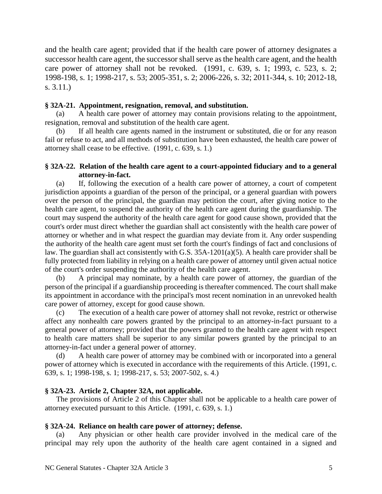and the health care agent; provided that if the health care power of attorney designates a successor health care agent, the successor shall serve as the health care agent, and the health care power of attorney shall not be revoked. (1991, c. 639, s. 1; 1993, c. 523, s. 2; 1998-198, s. 1; 1998-217, s. 53; 2005-351, s. 2; 2006-226, s. 32; 2011-344, s. 10; 2012-18, s. 3.11.)

## **§ 32A-21. Appointment, resignation, removal, and substitution.**

(a) A health care power of attorney may contain provisions relating to the appointment, resignation, removal and substitution of the health care agent.

(b) If all health care agents named in the instrument or substituted, die or for any reason fail or refuse to act, and all methods of substitution have been exhausted, the health care power of attorney shall cease to be effective. (1991, c. 639, s. 1.)

## **§ 32A-22. Relation of the health care agent to a court-appointed fiduciary and to a general attorney-in-fact.**

(a) If, following the execution of a health care power of attorney, a court of competent jurisdiction appoints a guardian of the person of the principal, or a general guardian with powers over the person of the principal, the guardian may petition the court, after giving notice to the health care agent, to suspend the authority of the health care agent during the guardianship. The court may suspend the authority of the health care agent for good cause shown, provided that the court's order must direct whether the guardian shall act consistently with the health care power of attorney or whether and in what respect the guardian may deviate from it. Any order suspending the authority of the health care agent must set forth the court's findings of fact and conclusions of law. The guardian shall act consistently with G.S. 35A-1201(a)(5). A health care provider shall be fully protected from liability in relying on a health care power of attorney until given actual notice of the court's order suspending the authority of the health care agent.

(b) A principal may nominate, by a health care power of attorney, the guardian of the person of the principal if a guardianship proceeding is thereafter commenced. The court shall make its appointment in accordance with the principal's most recent nomination in an unrevoked health care power of attorney, except for good cause shown.

(c) The execution of a health care power of attorney shall not revoke, restrict or otherwise affect any nonhealth care powers granted by the principal to an attorney-in-fact pursuant to a general power of attorney; provided that the powers granted to the health care agent with respect to health care matters shall be superior to any similar powers granted by the principal to an attorney-in-fact under a general power of attorney.

(d) A health care power of attorney may be combined with or incorporated into a general power of attorney which is executed in accordance with the requirements of this Article. (1991, c. 639, s. 1; 1998-198, s. 1; 1998-217, s. 53; 2007-502, s. 4.)

## **§ 32A-23. Article 2, Chapter 32A, not applicable.**

The provisions of Article 2 of this Chapter shall not be applicable to a health care power of attorney executed pursuant to this Article. (1991, c. 639, s. 1.)

## **§ 32A-24. Reliance on health care power of attorney; defense.**

(a) Any physician or other health care provider involved in the medical care of the principal may rely upon the authority of the health care agent contained in a signed and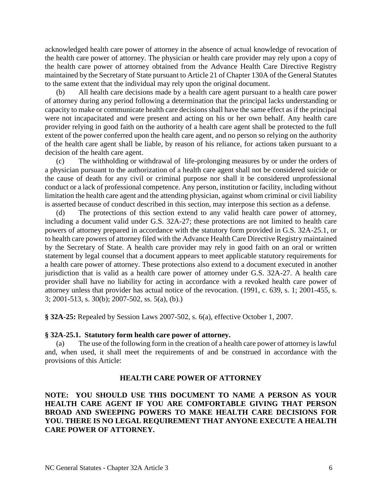acknowledged health care power of attorney in the absence of actual knowledge of revocation of the health care power of attorney. The physician or health care provider may rely upon a copy of the health care power of attorney obtained from the Advance Health Care Directive Registry maintained by the Secretary of State pursuant to Article 21 of Chapter 130A of the General Statutes to the same extent that the individual may rely upon the original document.

(b) All health care decisions made by a health care agent pursuant to a health care power of attorney during any period following a determination that the principal lacks understanding or capacity to make or communicate health care decisions shall have the same effect as if the principal were not incapacitated and were present and acting on his or her own behalf. Any health care provider relying in good faith on the authority of a health care agent shall be protected to the full extent of the power conferred upon the health care agent, and no person so relying on the authority of the health care agent shall be liable, by reason of his reliance, for actions taken pursuant to a decision of the health care agent.

(c) The withholding or withdrawal of life-prolonging measures by or under the orders of a physician pursuant to the authorization of a health care agent shall not be considered suicide or the cause of death for any civil or criminal purpose nor shall it be considered unprofessional conduct or a lack of professional competence. Any person, institution or facility, including without limitation the health care agent and the attending physician, against whom criminal or civil liability is asserted because of conduct described in this section, may interpose this section as a defense.

(d) The protections of this section extend to any valid health care power of attorney, including a document valid under G.S. 32A-27; these protections are not limited to health care powers of attorney prepared in accordance with the statutory form provided in G.S. 32A-25.1, or to health care powers of attorney filed with the Advance Health Care Directive Registry maintained by the Secretary of State. A health care provider may rely in good faith on an oral or written statement by legal counsel that a document appears to meet applicable statutory requirements for a health care power of attorney. These protections also extend to a document executed in another jurisdiction that is valid as a health care power of attorney under G.S. 32A-27. A health care provider shall have no liability for acting in accordance with a revoked health care power of attorney unless that provider has actual notice of the revocation. (1991, c. 639, s. 1; 2001-455, s. 3; 2001-513, s. 30(b); 2007-502, ss. 5(a), (b).)

**§ 32A-25:** Repealed by Session Laws 2007-502, s. 6(a), effective October 1, 2007.

#### **§ 32A-25.1. Statutory form health care power of attorney.**

(a) The use of the following form in the creation of a health care power of attorney is lawful and, when used, it shall meet the requirements of and be construed in accordance with the provisions of this Article:

#### **HEALTH CARE POWER OF ATTORNEY**

**NOTE: YOU SHOULD USE THIS DOCUMENT TO NAME A PERSON AS YOUR HEALTH CARE AGENT IF YOU ARE COMFORTABLE GIVING THAT PERSON BROAD AND SWEEPING POWERS TO MAKE HEALTH CARE DECISIONS FOR YOU. THERE IS NO LEGAL REQUIREMENT THAT ANYONE EXECUTE A HEALTH CARE POWER OF ATTORNEY.**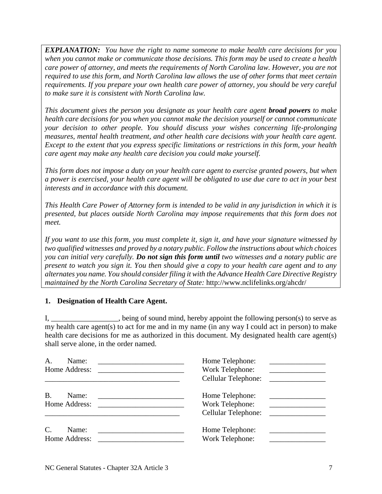*EXPLANATION: You have the right to name someone to make health care decisions for you when you cannot make or communicate those decisions. This form may be used to create a health care power of attorney, and meets the requirements of North Carolina law. However, you are not required to use this form, and North Carolina law allows the use of other forms that meet certain requirements. If you prepare your own health care power of attorney, you should be very careful to make sure it is consistent with North Carolina law.*

*This document gives the person you designate as your health care agent broad powers to make health care decisions for you when you cannot make the decision yourself or cannot communicate your decision to other people. You should discuss your wishes concerning life-prolonging measures, mental health treatment, and other health care decisions with your health care agent. Except to the extent that you express specific limitations or restrictions in this form, your health care agent may make any health care decision you could make yourself.*

*This form does not impose a duty on your health care agent to exercise granted powers, but when a power is exercised, your health care agent will be obligated to use due care to act in your best interests and in accordance with this document.*

*This Health Care Power of Attorney form is intended to be valid in any jurisdiction in which it is presented, but places outside North Carolina may impose requirements that this form does not meet.*

*If you want to use this form, you must complete it, sign it, and have your signature witnessed by two qualified witnesses and proved by a notary public. Follow the instructions about which choices you can initial very carefully. Do not sign this form until two witnesses and a notary public are present to watch you sign it. You then should give a copy to your health care agent and to any alternates you name. You should consider filing it with the Advance Health Care Directive Registry maintained by the North Carolina Secretary of State:* http://www.nclifelinks.org/ahcdr/

## **1. Designation of Health Care Agent.**

I, \_\_\_\_\_\_\_\_\_\_\_\_\_\_\_, being of sound mind, hereby appoint the following person(s) to serve as my health care agent(s) to act for me and in my name (in any way I could act in person) to make health care decisions for me as authorized in this document. My designated health care agent(s) shall serve alone, in the order named.

| Α.<br>Name:<br>Home Address:                                                                                                          | Home Telephone:<br>Work Telephone:                                    |
|---------------------------------------------------------------------------------------------------------------------------------------|-----------------------------------------------------------------------|
|                                                                                                                                       | Cellular Telephone:<br><u> 1989 - Alexandria Alexandria III e ale</u> |
| <b>B.</b><br>Name:                                                                                                                    | Home Telephone:                                                       |
| Home Address:<br><u> 2000 - 2000 - 2000 - 2000 - 2000 - 2000 - 2000 - 2000 - 2000 - 2000 - 2000 - 2000 - 2000 - 2000 - 2000 - 200</u> | Work Telephone:                                                       |
|                                                                                                                                       | Cellular Telephone:                                                   |
| C.<br>Name:                                                                                                                           | Home Telephone:                                                       |
| Home Address:                                                                                                                         | Work Telephone:                                                       |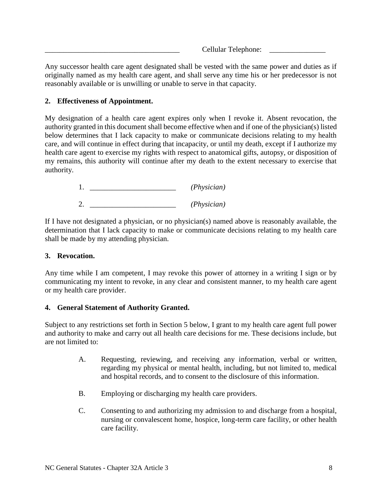Cellular Telephone:

Any successor health care agent designated shall be vested with the same power and duties as if originally named as my health care agent, and shall serve any time his or her predecessor is not reasonably available or is unwilling or unable to serve in that capacity.

## **2. Effectiveness of Appointment.**

My designation of a health care agent expires only when I revoke it. Absent revocation, the authority granted in this document shall become effective when and if one of the physician(s) listed below determines that I lack capacity to make or communicate decisions relating to my health care, and will continue in effect during that incapacity, or until my death, except if I authorize my health care agent to exercise my rights with respect to anatomical gifts, autopsy, or disposition of my remains, this authority will continue after my death to the extent necessary to exercise that authority.

> 1. \_\_\_\_\_\_\_\_\_\_\_\_\_\_\_\_\_\_\_\_\_\_\_ *(Physician)* 2. \_\_\_\_\_\_\_\_\_\_\_\_\_\_\_\_\_\_\_\_\_\_\_ *(Physician)*

If I have not designated a physician, or no physician(s) named above is reasonably available, the determination that I lack capacity to make or communicate decisions relating to my health care shall be made by my attending physician.

## **3. Revocation.**

Any time while I am competent, I may revoke this power of attorney in a writing I sign or by communicating my intent to revoke, in any clear and consistent manner, to my health care agent or my health care provider.

## **4. General Statement of Authority Granted.**

Subject to any restrictions set forth in Section 5 below, I grant to my health care agent full power and authority to make and carry out all health care decisions for me. These decisions include, but are not limited to:

- A. Requesting, reviewing, and receiving any information, verbal or written, regarding my physical or mental health, including, but not limited to, medical and hospital records, and to consent to the disclosure of this information.
- B. Employing or discharging my health care providers.
- C. Consenting to and authorizing my admission to and discharge from a hospital, nursing or convalescent home, hospice, long-term care facility, or other health care facility.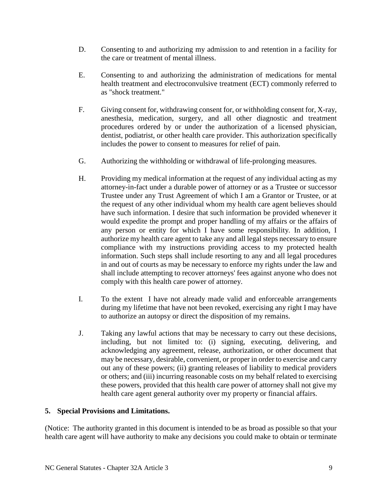- D. Consenting to and authorizing my admission to and retention in a facility for the care or treatment of mental illness.
- E. Consenting to and authorizing the administration of medications for mental health treatment and electroconvulsive treatment (ECT) commonly referred to as "shock treatment."
- F. Giving consent for, withdrawing consent for, or withholding consent for, X-ray, anesthesia, medication, surgery, and all other diagnostic and treatment procedures ordered by or under the authorization of a licensed physician, dentist, podiatrist, or other health care provider. This authorization specifically includes the power to consent to measures for relief of pain.
- G. Authorizing the withholding or withdrawal of life-prolonging measures.
- H. Providing my medical information at the request of any individual acting as my attorney-in-fact under a durable power of attorney or as a Trustee or successor Trustee under any Trust Agreement of which I am a Grantor or Trustee, or at the request of any other individual whom my health care agent believes should have such information. I desire that such information be provided whenever it would expedite the prompt and proper handling of my affairs or the affairs of any person or entity for which I have some responsibility. In addition, I authorize my health care agent to take any and all legal steps necessary to ensure compliance with my instructions providing access to my protected health information. Such steps shall include resorting to any and all legal procedures in and out of courts as may be necessary to enforce my rights under the law and shall include attempting to recover attorneys' fees against anyone who does not comply with this health care power of attorney.
- I. To the extent I have not already made valid and enforceable arrangements during my lifetime that have not been revoked, exercising any right I may have to authorize an autopsy or direct the disposition of my remains.
- J. Taking any lawful actions that may be necessary to carry out these decisions, including, but not limited to: (i) signing, executing, delivering, and acknowledging any agreement, release, authorization, or other document that may be necessary, desirable, convenient, or proper in order to exercise and carry out any of these powers; (ii) granting releases of liability to medical providers or others; and (iii) incurring reasonable costs on my behalf related to exercising these powers, provided that this health care power of attorney shall not give my health care agent general authority over my property or financial affairs.

## **5. Special Provisions and Limitations.**

(Notice: The authority granted in this document is intended to be as broad as possible so that your health care agent will have authority to make any decisions you could make to obtain or terminate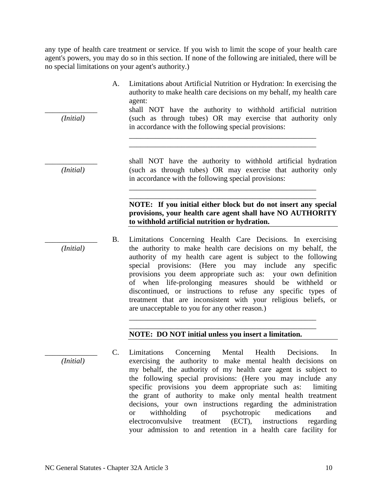any type of health care treatment or service. If you wish to limit the scope of your health care agent's powers, you may do so in this section. If none of the following are initialed, there will be no special limitations on your agent's authority.)

- A. Limitations about Artificial Nutrition or Hydration: In exercising the authority to make health care decisions on my behalf, my health care agent:
- shall NOT have the authority to withhold artificial nutrition *(Initial)* (such as through tubes) OR may exercise that authority only in accordance with the following special provisions:

\_\_\_\_\_\_\_\_\_\_\_\_\_\_\_\_\_\_\_\_\_\_\_\_\_\_\_\_\_\_\_\_\_\_\_\_\_\_\_\_\_\_\_\_\_\_\_\_\_\_ \_\_\_\_\_\_\_\_\_\_\_\_\_\_\_\_\_\_\_\_\_\_\_\_\_\_\_\_\_\_\_\_\_\_\_\_\_\_\_\_\_\_\_\_\_\_\_\_\_\_

\_\_\_\_\_\_\_\_\_\_\_\_\_\_\_\_\_\_\_\_\_\_\_\_\_\_\_\_\_\_\_\_\_\_\_\_\_\_\_\_\_\_\_\_\_\_\_\_\_\_ \_\_\_\_\_\_\_\_\_\_\_\_\_\_\_\_\_\_\_\_\_\_\_\_\_\_\_\_\_\_\_\_\_\_\_\_\_\_\_\_\_\_\_\_\_\_\_\_\_\_

shall NOT have the authority to withhold artificial hydration *(Initial)* (such as through tubes) OR may exercise that authority only in accordance with the following special provisions:

### **NOTE: If you initial either block but do not insert any special provisions, your health care agent shall have NO AUTHORITY to withhold artificial nutrition or hydration.**

B. Limitations Concerning Health Care Decisions. In exercising *(Initial)* the authority to make health care decisions on my behalf, the authority of my health care agent is subject to the following special provisions: (Here you may include any specific provisions you deem appropriate such as: your own definition of when life-prolonging measures should be withheld or discontinued, or instructions to refuse any specific types of treatment that are inconsistent with your religious beliefs, or are unacceptable to you for any other reason.)

> \_\_\_\_\_\_\_\_\_\_\_\_\_\_\_\_\_\_\_\_\_\_\_\_\_\_\_\_\_\_\_\_\_\_\_\_\_\_\_\_\_\_\_\_\_\_\_\_\_\_ \_\_\_\_\_\_\_\_\_\_\_\_\_\_\_\_\_\_\_\_\_\_\_\_\_\_\_\_\_\_\_\_\_\_\_\_\_\_\_\_\_\_\_\_\_\_\_\_\_\_

## **NOTE: DO NOT initial unless you insert a limitation.**

\_\_\_\_\_\_\_\_\_\_\_\_\_\_ C. Limitations Concerning Mental Health Decisions. In *(Initial)* exercising the authority to make mental health decisions on my behalf, the authority of my health care agent is subject to the following special provisions: (Here you may include any specific provisions you deem appropriate such as: limiting the grant of authority to make only mental health treatment decisions, your own instructions regarding the administration or withholding of psychotropic medications and electroconvulsive treatment (ECT), instructions regarding your admission to and retention in a health care facility for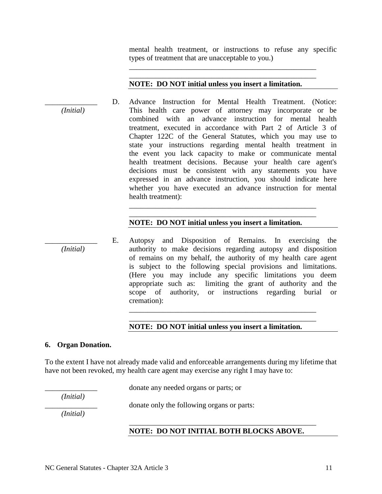mental health treatment, or instructions to refuse any specific types of treatment that are unacceptable to you.)

#### **NOTE: DO NOT initial unless you insert a limitation.**

\_\_\_\_\_\_\_\_\_\_\_\_\_\_\_\_\_\_\_\_\_\_\_\_\_\_\_\_\_\_\_\_\_\_\_\_\_\_\_\_\_\_\_\_\_\_\_\_\_\_ \_\_\_\_\_\_\_\_\_\_\_\_\_\_\_\_\_\_\_\_\_\_\_\_\_\_\_\_\_\_\_\_\_\_\_\_\_\_\_\_\_\_\_\_\_\_\_\_\_\_

D. Advance Instruction for Mental Health Treatment. (Notice: *(Initial)* This health care power of attorney may incorporate or be combined with an advance instruction for mental health treatment, executed in accordance with Part 2 of Article 3 of Chapter 122C of the General Statutes, which you may use to state your instructions regarding mental health treatment in the event you lack capacity to make or communicate mental health treatment decisions. Because your health care agent's decisions must be consistent with any statements you have expressed in an advance instruction, you should indicate here whether you have executed an advance instruction for mental health treatment): \_\_\_\_\_\_\_\_\_\_\_\_\_\_\_\_\_\_\_\_\_\_\_\_\_\_\_\_\_\_\_\_\_\_\_\_\_\_\_\_\_\_\_\_\_\_\_\_\_\_

#### **NOTE: DO NOT initial unless you insert a limitation.**

\_\_\_\_\_\_\_\_\_\_\_\_\_\_\_\_\_\_\_\_\_\_\_\_\_\_\_\_\_\_\_\_\_\_\_\_\_\_\_\_\_\_\_\_\_\_\_\_\_\_

E. Autopsy and Disposition of Remains. In exercising the *(Initial)* authority to make decisions regarding autopsy and disposition of remains on my behalf, the authority of my health care agent is subject to the following special provisions and limitations. (Here you may include any specific limitations you deem appropriate such as: limiting the grant of authority and the scope of authority, or instructions regarding burial or cremation):

#### **NOTE: DO NOT initial unless you insert a limitation.**

\_\_\_\_\_\_\_\_\_\_\_\_\_\_\_\_\_\_\_\_\_\_\_\_\_\_\_\_\_\_\_\_\_\_\_\_\_\_\_\_\_\_\_\_\_\_\_\_\_\_ \_\_\_\_\_\_\_\_\_\_\_\_\_\_\_\_\_\_\_\_\_\_\_\_\_\_\_\_\_\_\_\_\_\_\_\_\_\_\_\_\_\_\_\_\_\_\_\_\_\_

#### **6. Organ Donation.**

To the extent I have not already made valid and enforceable arrangements during my lifetime that have not been revoked, my health care agent may exercise any right I may have to:

\_\_\_\_\_\_\_\_\_\_\_\_\_\_ donate any needed organs or parts; or

*(Initial)*

\_\_\_\_\_\_\_\_\_\_\_\_\_\_ donate only the following organs or parts:

*(Initial)*

#### **NOTE: DO NOT INITIAL BOTH BLOCKS ABOVE.**

\_\_\_\_\_\_\_\_\_\_\_\_\_\_\_\_\_\_\_\_\_\_\_\_\_\_\_\_\_\_\_\_\_\_\_\_\_\_\_\_\_\_\_\_\_\_\_\_\_\_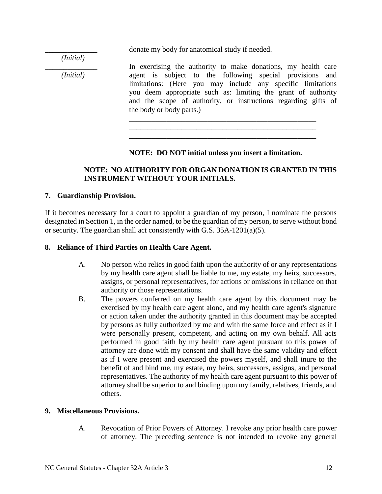\_\_\_\_\_\_\_\_\_\_\_\_\_\_ donate my body for anatomical study if needed.

*(Initial)*

In exercising the authority to make donations, my health care *(Initial)* agent is subject to the following special provisions and limitations: (Here you may include any specific limitations you deem appropriate such as: limiting the grant of authority and the scope of authority, or instructions regarding gifts of the body or body parts.)

## **NOTE: DO NOT initial unless you insert a limitation.**

\_\_\_\_\_\_\_\_\_\_\_\_\_\_\_\_\_\_\_\_\_\_\_\_\_\_\_\_\_\_\_\_\_\_\_\_\_\_\_\_\_\_\_\_\_\_\_\_\_\_ \_\_\_\_\_\_\_\_\_\_\_\_\_\_\_\_\_\_\_\_\_\_\_\_\_\_\_\_\_\_\_\_\_\_\_\_\_\_\_\_\_\_\_\_\_\_\_\_\_\_ \_\_\_\_\_\_\_\_\_\_\_\_\_\_\_\_\_\_\_\_\_\_\_\_\_\_\_\_\_\_\_\_\_\_\_\_\_\_\_\_\_\_\_\_\_\_\_\_\_\_

## **NOTE: NO AUTHORITY FOR ORGAN DONATION IS GRANTED IN THIS INSTRUMENT WITHOUT YOUR INITIALS.**

## **7. Guardianship Provision.**

If it becomes necessary for a court to appoint a guardian of my person, I nominate the persons designated in Section 1, in the order named, to be the guardian of my person, to serve without bond or security. The guardian shall act consistently with G.S. 35A-1201(a)(5).

### **8. Reliance of Third Parties on Health Care Agent.**

- A. No person who relies in good faith upon the authority of or any representations by my health care agent shall be liable to me, my estate, my heirs, successors, assigns, or personal representatives, for actions or omissions in reliance on that authority or those representations.
- B. The powers conferred on my health care agent by this document may be exercised by my health care agent alone, and my health care agent's signature or action taken under the authority granted in this document may be accepted by persons as fully authorized by me and with the same force and effect as if I were personally present, competent, and acting on my own behalf. All acts performed in good faith by my health care agent pursuant to this power of attorney are done with my consent and shall have the same validity and effect as if I were present and exercised the powers myself, and shall inure to the benefit of and bind me, my estate, my heirs, successors, assigns, and personal representatives. The authority of my health care agent pursuant to this power of attorney shall be superior to and binding upon my family, relatives, friends, and others.

#### **9. Miscellaneous Provisions.**

A. Revocation of Prior Powers of Attorney. I revoke any prior health care power of attorney. The preceding sentence is not intended to revoke any general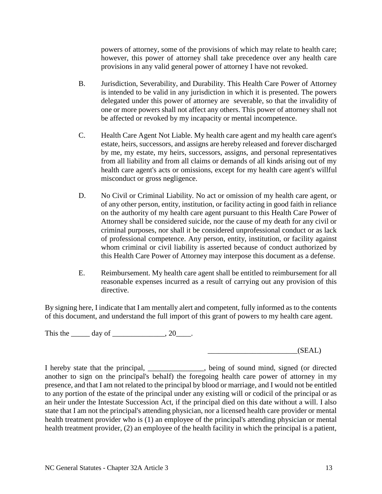powers of attorney, some of the provisions of which may relate to health care; however, this power of attorney shall take precedence over any health care provisions in any valid general power of attorney I have not revoked.

- B. Jurisdiction, Severability, and Durability. This Health Care Power of Attorney is intended to be valid in any jurisdiction in which it is presented. The powers delegated under this power of attorney are severable, so that the invalidity of one or more powers shall not affect any others. This power of attorney shall not be affected or revoked by my incapacity or mental incompetence.
- C. Health Care Agent Not Liable. My health care agent and my health care agent's estate, heirs, successors, and assigns are hereby released and forever discharged by me, my estate, my heirs, successors, assigns, and personal representatives from all liability and from all claims or demands of all kinds arising out of my health care agent's acts or omissions, except for my health care agent's willful misconduct or gross negligence.
- D. No Civil or Criminal Liability. No act or omission of my health care agent, or of any other person, entity, institution, or facility acting in good faith in reliance on the authority of my health care agent pursuant to this Health Care Power of Attorney shall be considered suicide, nor the cause of my death for any civil or criminal purposes, nor shall it be considered unprofessional conduct or as lack of professional competence. Any person, entity, institution, or facility against whom criminal or civil liability is asserted because of conduct authorized by this Health Care Power of Attorney may interpose this document as a defense.
- E. Reimbursement. My health care agent shall be entitled to reimbursement for all reasonable expenses incurred as a result of carrying out any provision of this directive.

By signing here, I indicate that I am mentally alert and competent, fully informed as to the contents of this document, and understand the full import of this grant of powers to my health care agent.

This the day of the day of the set of  $\sim 20$ .

 $(SEAL)$ 

I hereby state that the principal, being of sound mind, signed (or directed another to sign on the principal's behalf) the foregoing health care power of attorney in my presence, and that I am not related to the principal by blood or marriage, and I would not be entitled to any portion of the estate of the principal under any existing will or codicil of the principal or as an heir under the Intestate Succession Act, if the principal died on this date without a will. I also state that I am not the principal's attending physician, nor a licensed health care provider or mental health treatment provider who is (1) an employee of the principal's attending physician or mental health treatment provider, (2) an employee of the health facility in which the principal is a patient,